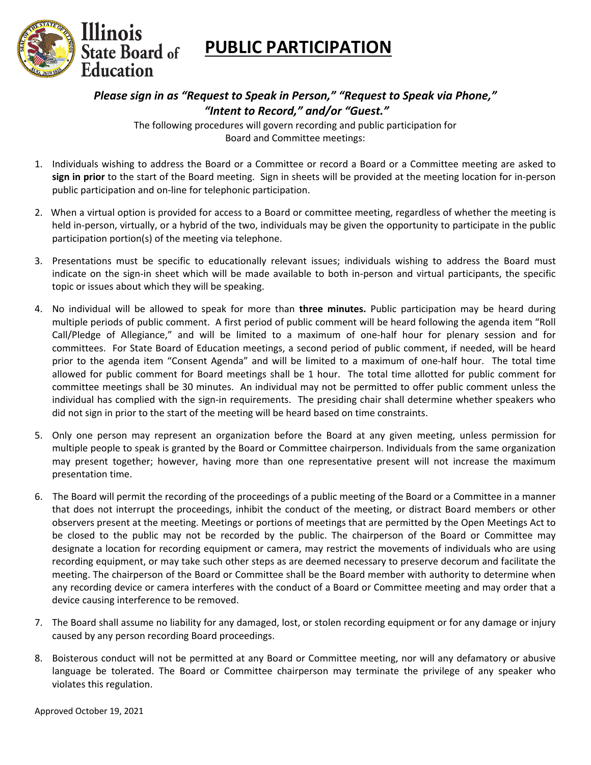

## **PUBLIC PARTICIPATION**

*Please sign in as "Request to Speak in Person," "Request to Speak via Phone," "Intent to Record," and/or "Guest."* 

The following procedures will govern recording and public participation for Board and Committee meetings:

- 1. Individuals wishing to address the Board or a Committee or record a Board or a Committee meeting are asked to **sign in prior** to the start of the Board meeting. Sign in sheets will be provided at the meeting location for in-person public participation and on-line for telephonic participation.
- 2. When a virtual option is provided for access to a Board or committee meeting, regardless of whether the meeting is held in-person, virtually, or a hybrid of the two, individuals may be given the opportunity to participate in the public participation portion(s) of the meeting via telephone.
- 3. Presentations must be specific to educationally relevant issues; individuals wishing to address the Board must indicate on the sign-in sheet which will be made available to both in-person and virtual participants, the specific topic or issues about which they will be speaking.
- 4. No individual will be allowed to speak for more than **three minutes.** Public participation may be heard during multiple periods of public comment. A first period of public comment will be heard following the agenda item "Roll Call/Pledge of Allegiance," and will be limited to a maximum of one-half hour for plenary session and for committees. For State Board of Education meetings, a second period of public comment, if needed, will be heard prior to the agenda item "Consent Agenda" and will be limited to a maximum of one-half hour. The total time allowed for public comment for Board meetings shall be 1 hour. The total time allotted for public comment for committee meetings shall be 30 minutes. An individual may not be permitted to offer public comment unless the individual has complied with the sign-in requirements. The presiding chair shall determine whether speakers who did not sign in prior to the start of the meeting will be heard based on time constraints.
- 5. Only one person may represent an organization before the Board at any given meeting, unless permission for multiple people to speak is granted by the Board or Committee chairperson. Individuals from the same organization may present together; however, having more than one representative present will not increase the maximum presentation time.
- 6. The Board will permit the recording of the proceedings of a public meeting of the Board or a Committee in a manner that does not interrupt the proceedings, inhibit the conduct of the meeting, or distract Board members or other observers present at the meeting. Meetings or portions of meetings that are permitted by the Open Meetings Act to be closed to the public may not be recorded by the public. The chairperson of the Board or Committee may designate a location for recording equipment or camera, may restrict the movements of individuals who are using recording equipment, or may take such other steps as are deemed necessary to preserve decorum and facilitate the meeting. The chairperson of the Board or Committee shall be the Board member with authority to determine when any recording device or camera interferes with the conduct of a Board or Committee meeting and may order that a device causing interference to be removed.
- 7. The Board shall assume no liability for any damaged, lost, or stolen recording equipment or for any damage or injury caused by any person recording Board proceedings.
- 8. Boisterous conduct will not be permitted at any Board or Committee meeting, nor will any defamatory or abusive language be tolerated. The Board or Committee chairperson may terminate the privilege of any speaker who violates this regulation.